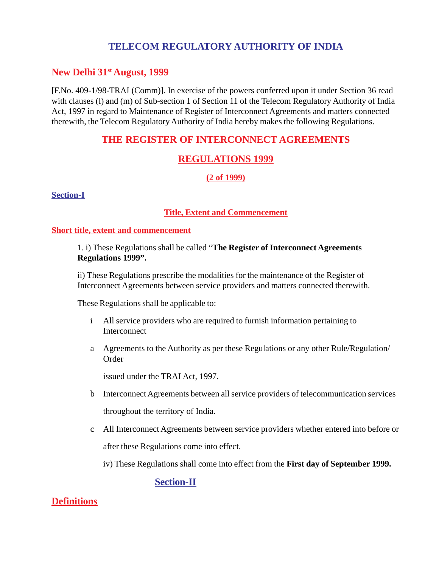# **TELECOM REGULATORY AUTHORITY OF INDIA**

### **New Delhi 31st August, 1999**

[F.No. 409-1/98-TRAI (Comm)]. In exercise of the powers conferred upon it under Section 36 read with clauses (I) and (m) of Sub-section 1 of Section 11 of the Telecom Regulatory Authority of India Act, 1997 in regard to Maintenance of Register of Interconnect Agreements and matters connected therewith, the Telecom Regulatory Authority of India hereby makes the following Regulations.

## **THE REGISTER OF INTERCONNECT AGREEMENTS**

# **REGULATIONS 1999**

#### **(2 of 1999)**

**Section-I**

#### **Title, Extent and Commencement**

#### **Short title, extent and commencement**

1. i) These Regulations shall be called "**The Register of Interconnect Agreements Regulations 1999".**

ii) These Regulations prescribe the modalities for the maintenance of the Register of Interconnect Agreements between service providers and matters connected therewith.

These Regulations shall be applicable to:

- i All service providers who are required to furnish information pertaining to **Interconnect**
- a Agreements to the Authority as per these Regulations or any other Rule/Regulation/ **Order**

issued under the TRAI Act, 1997.

- b Interconnect Agreements between all service providers of telecommunication services throughout the territory of India.
- c All Interconnect Agreements between service providers whether entered into before or after these Regulations come into effect.

iv) These Regulations shall come into effect from the **First day of September 1999.**

**Section-II**

### **Definitions**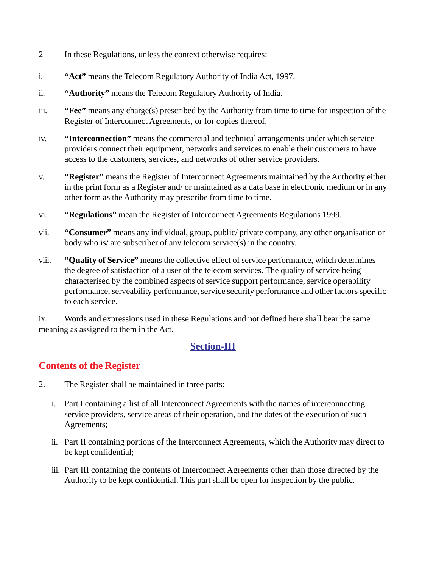- 2 In these Regulations, unless the context otherwise requires:
- i. **"Act"** means the Telecom Regulatory Authority of India Act, 1997.
- ii. **"Authority"** means the Telecom Regulatory Authority of India.
- iii. **"Fee"** means any charge(s) prescribed by the Authority from time to time for inspection of the Register of Interconnect Agreements, or for copies thereof.
- iv. **"Interconnection"** means the commercial and technical arrangements under which service providers connect their equipment, networks and services to enable their customers to have access to the customers, services, and networks of other service providers.
- v. **"Register"** means the Register of Interconnect Agreements maintained by the Authority either in the print form as a Register and/ or maintained as a data base in electronic medium or in any other form as the Authority may prescribe from time to time.
- vi. **"Regulations"** mean the Register of Interconnect Agreements Regulations 1999.
- vii. **"Consumer"** means any individual, group, public/ private company, any other organisation or body who is/ are subscriber of any telecom service(s) in the country.
- viii. **"Quality of Service"** means the collective effect of service performance, which determines the degree of satisfaction of a user of the telecom services. The quality of service being characterised by the combined aspects of service support performance, service operability performance, serveability performance, service security performance and other factors specific to each service.

ix. Words and expressions used in these Regulations and not defined here shall bear the same meaning as assigned to them in the Act.

# **Section-III**

# **Contents of the Register**

- 2. The Register shall be maintained in three parts:
	- i. Part I containing a list of all Interconnect Agreements with the names of interconnecting service providers, service areas of their operation, and the dates of the execution of such Agreements;
	- ii. Part II containing portions of the Interconnect Agreements, which the Authority may direct to be kept confidential;
	- iii. Part III containing the contents of Interconnect Agreements other than those directed by the Authority to be kept confidential. This part shall be open for inspection by the public.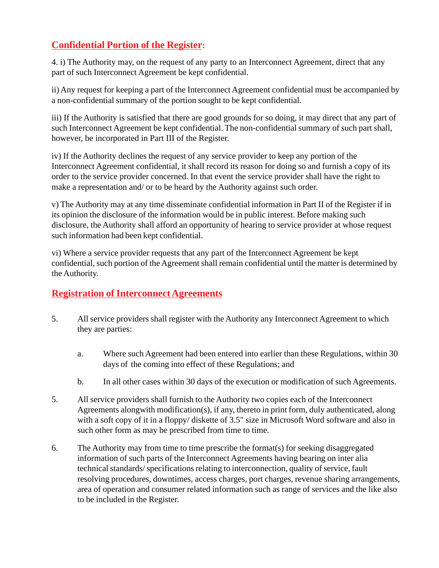# **Confidential Portion of the Register:**

4. i) The Authority may, on the request of any party to an Interconnect Agreement, direct that any part of such Interconnect Agreement be kept confidential.

ii) Any request for keeping a part of the Interconnect Agreement confidential must be accompanied by a non-confidential summary of the portion sought to be kept confidential.

iii) If the Authority is satisfied that there are good grounds for so doing, it may direct that any part of such Interconnect Agreement be kept confidential. The non-confidential summary of such part shall, however, be incorporated in Part III of the Register.

iv) If the Authority declines the request of any service provider to keep any portion of the Interconnect Agreement confidential, it shall record its reason for doing so and furnish a copy of its order to the service provider concerned. In that event the service provider shall have the right to make a representation and/ or to be heard by the Authority against such order.

v) The Authority may at any time disseminate confidential information in Part II of the Register if in its opinion the disclosure of the information would be in public interest. Before making such disclosure, the Authority shall afford an opportunity of hearing to service provider at whose request such information had been kept confidential.

vi) Where a service provider requests that any part of the Interconnect Agreement be kept confidential, such portion of the Agreement shall remain confidential until the matter is determined by the Authority.

# **Registration of Interconnect Agreements**

- 5. All service providers shall register with the Authority any Interconnect Agreement to which they are parties:
	- a. Where such Agreement had been entered into earlier than these Regulations, within 30 days of the coming into effect of these Regulations; and
	- b. In all other cases within 30 days of the execution or modification of such Agreements.
- 5. All service providers shall furnish to the Authority two copies each of the Interconnect Agreements alongwith modification(s), if any, thereto in print form, duly authenticated, along with a soft copy of it in a floppy/ diskette of 3.5" size in Microsoft Word software and also in such other form as may be prescribed from time to time.
- 6. The Authority may from time to time prescribe the format(s) for seeking disaggregated information of such parts of the Interconnect Agreements having bearing on inter alia technical standards/ specifications relating to interconnection, quality of service, fault resolving procedures, downtimes, access charges, port charges, revenue sharing arrangements, area of operation and consumer related information such as range of services and the like also to be included in the Register.